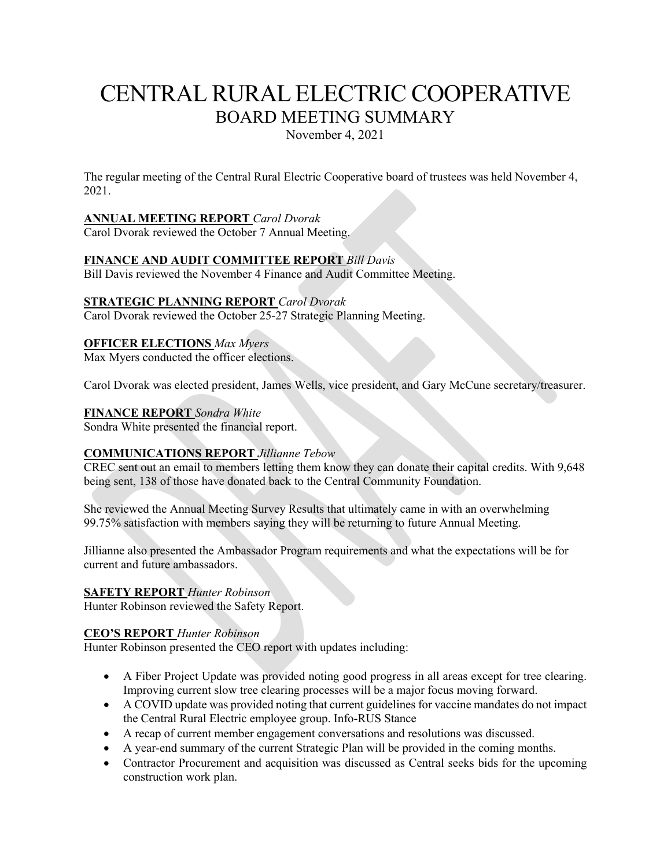# CENTRAL RURAL ELECTRIC COOPERATIVE BOARD MEETING SUMMARY

November 4, 2021

The regular meeting of the Central Rural Electric Cooperative board of trustees was held November 4, 2021.

# **ANNUAL MEETING REPORT** *Carol Dvorak*

Carol Dvorak reviewed the October 7 Annual Meeting.

## **FINANCE AND AUDIT COMMITTEE REPORT** *Bill Davis*

Bill Davis reviewed the November 4 Finance and Audit Committee Meeting.

## **STRATEGIC PLANNING REPORT** *Carol Dvorak*

Carol Dvorak reviewed the October 25-27 Strategic Planning Meeting.

#### **OFFICER ELECTIONS** *Max Myers*

Max Myers conducted the officer elections.

Carol Dvorak was elected president, James Wells, vice president, and Gary McCune secretary/treasurer.

#### **FINANCE REPORT** *Sondra White*

Sondra White presented the financial report.

#### **COMMUNICATIONS REPORT** *Jillianne Tebow*

CREC sent out an email to members letting them know they can donate their capital credits. With 9,648 being sent, 138 of those have donated back to the Central Community Foundation.

She reviewed the Annual Meeting Survey Results that ultimately came in with an overwhelming 99.75% satisfaction with members saying they will be returning to future Annual Meeting.

Jillianne also presented the Ambassador Program requirements and what the expectations will be for current and future ambassadors.

#### **SAFETY REPORT** *Hunter Robinson*

Hunter Robinson reviewed the Safety Report.

#### **CEO'S REPORT** *Hunter Robinson*

Hunter Robinson presented the CEO report with updates including:

- A Fiber Project Update was provided noting good progress in all areas except for tree clearing. Improving current slow tree clearing processes will be a major focus moving forward.
- A COVID update was provided noting that current guidelines for vaccine mandates do not impact the Central Rural Electric employee group. Info-RUS Stance
- A recap of current member engagement conversations and resolutions was discussed.
- A year-end summary of the current Strategic Plan will be provided in the coming months.
- Contractor Procurement and acquisition was discussed as Central seeks bids for the upcoming construction work plan.